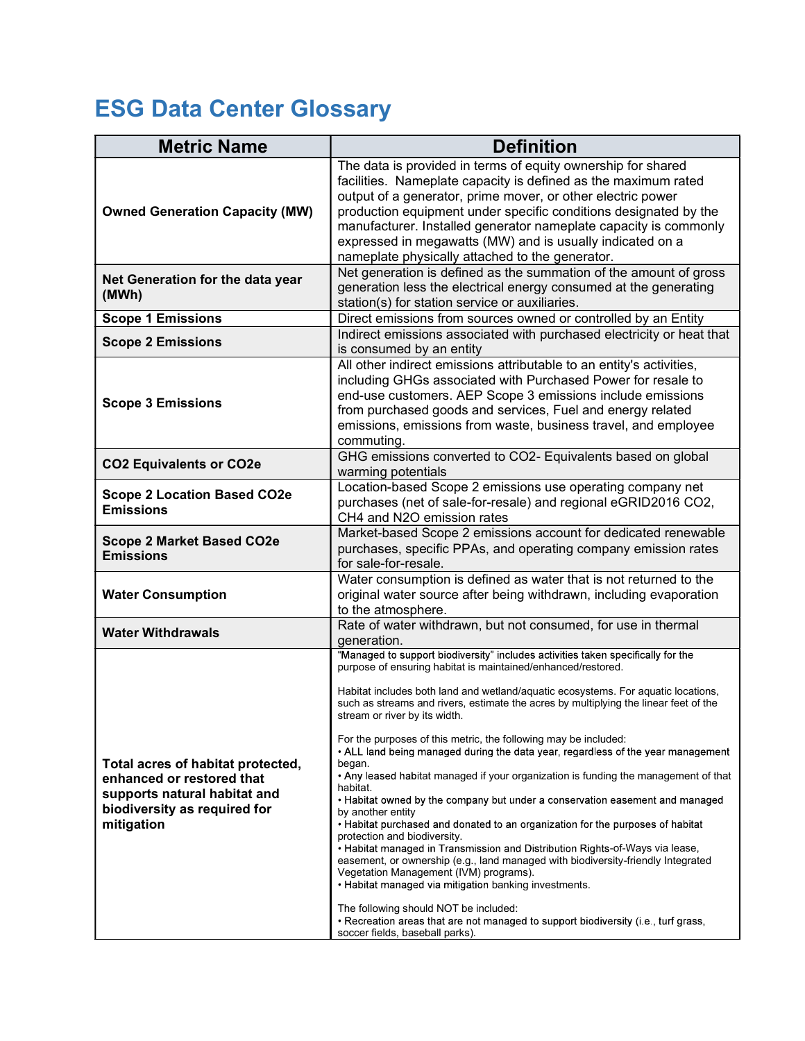## ESG Data Center Glossary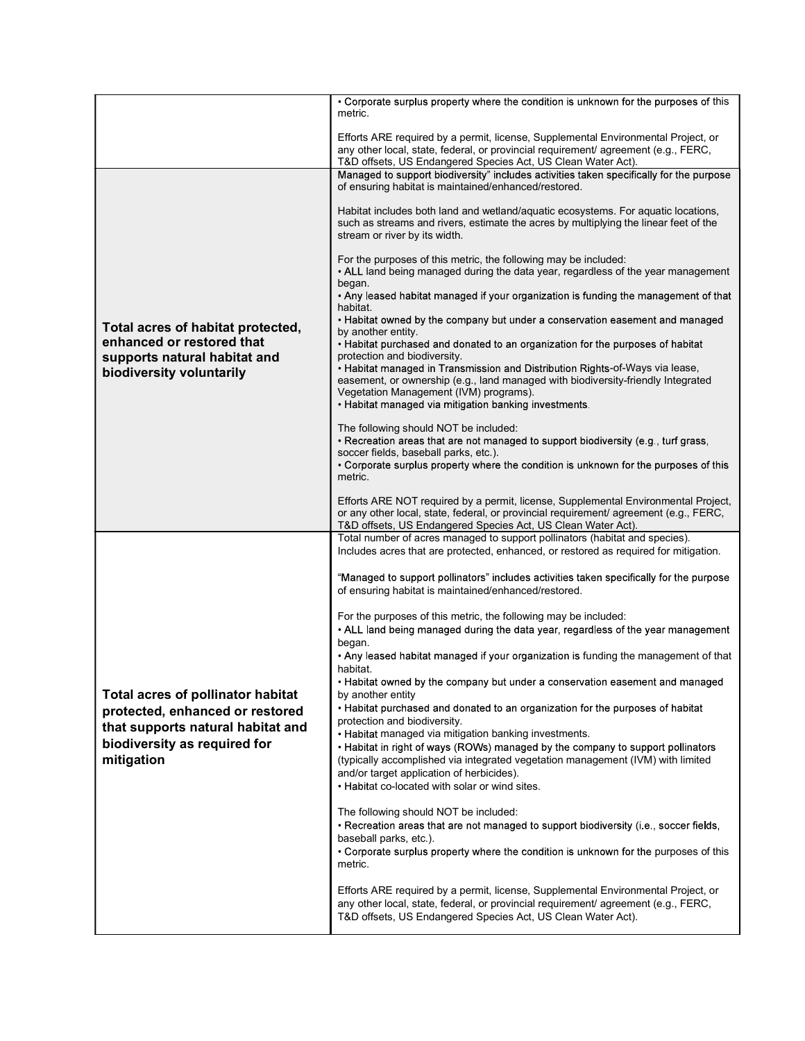|                                                                                                                                                         | • Corporate surplus property where the condition is unknown for the purposes of this<br>metric.                                                                                                                                                                                                                                                            |
|---------------------------------------------------------------------------------------------------------------------------------------------------------|------------------------------------------------------------------------------------------------------------------------------------------------------------------------------------------------------------------------------------------------------------------------------------------------------------------------------------------------------------|
|                                                                                                                                                         | Efforts ARE required by a permit, license, Supplemental Environmental Project, or<br>any other local, state, federal, or provincial requirement/ agreement (e.g., FERC,<br>T&D offsets, US Endangered Species Act, US Clean Water Act).                                                                                                                    |
|                                                                                                                                                         | Managed to support biodiversity" includes activities taken specifically for the purpose<br>of ensuring habitat is maintained/enhanced/restored.                                                                                                                                                                                                            |
|                                                                                                                                                         | Habitat includes both land and wetland/aquatic ecosystems. For aquatic locations,<br>such as streams and rivers, estimate the acres by multiplying the linear feet of the<br>stream or river by its width.                                                                                                                                                 |
| Total acres of habitat protected,<br>enhanced or restored that<br>supports natural habitat and<br>biodiversity voluntarily                              | For the purposes of this metric, the following may be included:<br>• ALL land being managed during the data year, regardless of the year management<br>began.                                                                                                                                                                                              |
|                                                                                                                                                         | • Any leased habitat managed if your organization is funding the management of that<br>habitat.<br>• Habitat owned by the company but under a conservation easement and managed                                                                                                                                                                            |
|                                                                                                                                                         | by another entity.<br>• Habitat purchased and donated to an organization for the purposes of habitat<br>protection and biodiversity.                                                                                                                                                                                                                       |
|                                                                                                                                                         | . Habitat managed in Transmission and Distribution Rights-of-Ways via lease,<br>easement, or ownership (e.g., land managed with biodiversity-friendly Integrated<br>Vegetation Management (IVM) programs).<br>• Habitat managed via mitigation banking investments.                                                                                        |
|                                                                                                                                                         | The following should NOT be included:<br>• Recreation areas that are not managed to support biodiversity (e.g., turf grass,<br>soccer fields, baseball parks, etc.).<br>• Corporate surplus property where the condition is unknown for the purposes of this<br>metric.                                                                                    |
|                                                                                                                                                         | Efforts ARE NOT required by a permit, license, Supplemental Environmental Project,<br>or any other local, state, federal, or provincial requirement/ agreement (e.g., FERC,<br>T&D offsets, US Endangered Species Act, US Clean Water Act).                                                                                                                |
| Total acres of pollinator habitat<br>protected, enhanced or restored<br>that supports natural habitat and<br>biodiversity as required for<br>mitigation | Total number of acres managed to support pollinators (habitat and species).<br>Includes acres that are protected, enhanced, or restored as required for mitigation.                                                                                                                                                                                        |
|                                                                                                                                                         | "Managed to support pollinators" includes activities taken specifically for the purpose<br>of ensuring habitat is maintained/enhanced/restored.                                                                                                                                                                                                            |
|                                                                                                                                                         | For the purposes of this metric, the following may be included:<br>• ALL land being managed during the data year, regardless of the year management<br>began.                                                                                                                                                                                              |
|                                                                                                                                                         | • Any leased habitat managed if your organization is funding the management of that<br>habitat.                                                                                                                                                                                                                                                            |
|                                                                                                                                                         | • Habitat owned by the company but under a conservation easement and managed<br>by another entity<br>• Habitat purchased and donated to an organization for the purposes of habitat                                                                                                                                                                        |
|                                                                                                                                                         | protection and biodiversity.<br>• Habitat managed via mitigation banking investments.<br>• Habitat in right of ways (ROWs) managed by the company to support pollinators<br>(typically accomplished via integrated vegetation management (IVM) with limited<br>and/or target application of herbicides).<br>• Habitat co-located with solar or wind sites. |
|                                                                                                                                                         | The following should NOT be included:<br>. Recreation areas that are not managed to support biodiversity (i.e., soccer fields,<br>baseball parks, etc.).<br>• Corporate surplus property where the condition is unknown for the purposes of this<br>metric.                                                                                                |
|                                                                                                                                                         | Efforts ARE required by a permit, license, Supplemental Environmental Project, or<br>any other local, state, federal, or provincial requirement/ agreement (e.g., FERC,<br>T&D offsets, US Endangered Species Act, US Clean Water Act).                                                                                                                    |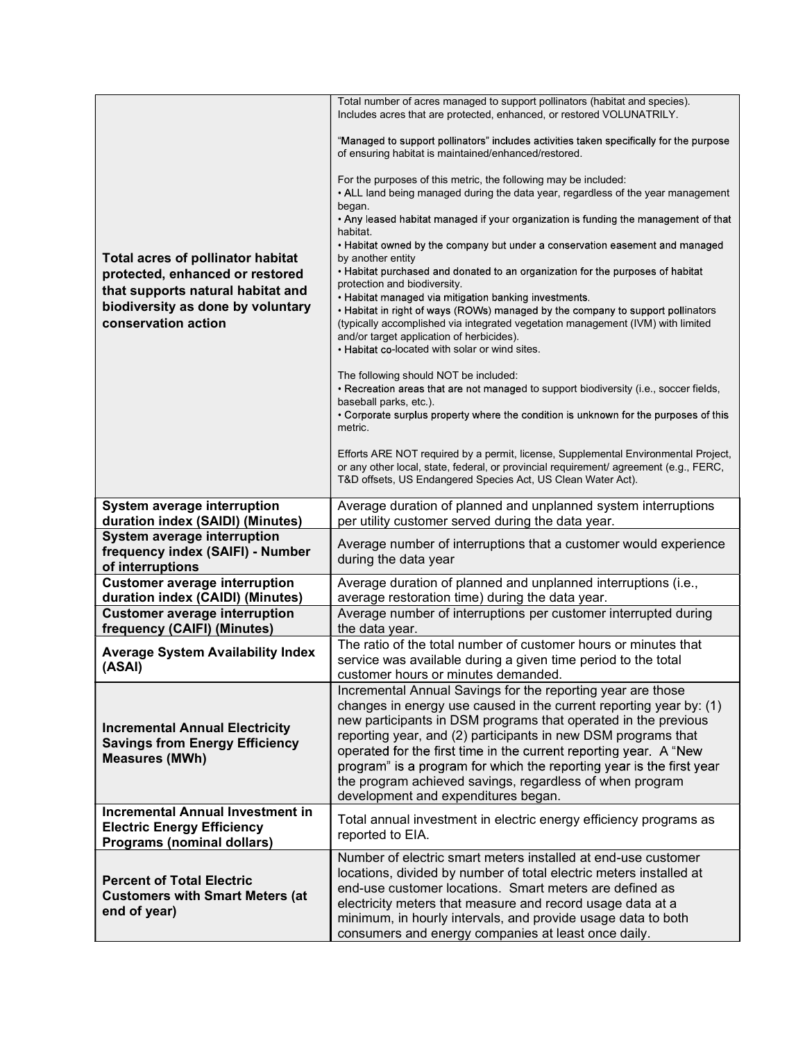| <b>Total acres of pollinator habitat</b><br>protected, enhanced or restored<br>that supports natural habitat and<br>biodiversity as done by voluntary<br>conservation action | Total number of acres managed to support pollinators (habitat and species).<br>Includes acres that are protected, enhanced, or restored VOLUNATRILY.                                                                                                                                                                                                                                                                                                                          |
|------------------------------------------------------------------------------------------------------------------------------------------------------------------------------|-------------------------------------------------------------------------------------------------------------------------------------------------------------------------------------------------------------------------------------------------------------------------------------------------------------------------------------------------------------------------------------------------------------------------------------------------------------------------------|
|                                                                                                                                                                              | "Managed to support pollinators" includes activities taken specifically for the purpose<br>of ensuring habitat is maintained/enhanced/restored.                                                                                                                                                                                                                                                                                                                               |
|                                                                                                                                                                              | For the purposes of this metric, the following may be included:<br>• ALL land being managed during the data year, regardless of the year management                                                                                                                                                                                                                                                                                                                           |
|                                                                                                                                                                              | began.<br>. Any leased habitat managed if your organization is funding the management of that<br>habitat.                                                                                                                                                                                                                                                                                                                                                                     |
|                                                                                                                                                                              | • Habitat owned by the company but under a conservation easement and managed<br>by another entity                                                                                                                                                                                                                                                                                                                                                                             |
|                                                                                                                                                                              | • Habitat purchased and donated to an organization for the purposes of habitat<br>protection and biodiversity.<br>• Habitat managed via mitigation banking investments.                                                                                                                                                                                                                                                                                                       |
|                                                                                                                                                                              | • Habitat in right of ways (ROWs) managed by the company to support pollinators<br>(typically accomplished via integrated vegetation management (IVM) with limited<br>and/or target application of herbicides).<br>. Habitat co-located with solar or wind sites.                                                                                                                                                                                                             |
|                                                                                                                                                                              | The following should NOT be included:<br>• Recreation areas that are not managed to support biodiversity (i.e., soccer fields,<br>baseball parks, etc.).                                                                                                                                                                                                                                                                                                                      |
|                                                                                                                                                                              | • Corporate surplus property where the condition is unknown for the purposes of this<br>metric.                                                                                                                                                                                                                                                                                                                                                                               |
|                                                                                                                                                                              | Efforts ARE NOT required by a permit, license, Supplemental Environmental Project,<br>or any other local, state, federal, or provincial requirement/ agreement (e.g., FERC,<br>T&D offsets, US Endangered Species Act, US Clean Water Act).                                                                                                                                                                                                                                   |
| System average interruption<br>duration index (SAIDI) (Minutes)                                                                                                              | Average duration of planned and unplanned system interruptions<br>per utility customer served during the data year.                                                                                                                                                                                                                                                                                                                                                           |
| System average interruption<br>frequency index (SAIFI) - Number<br>of interruptions                                                                                          | Average number of interruptions that a customer would experience<br>during the data year                                                                                                                                                                                                                                                                                                                                                                                      |
| <b>Customer average interruption</b><br>duration index (CAIDI) (Minutes)                                                                                                     | Average duration of planned and unplanned interruptions (i.e.,<br>average restoration time) during the data year.                                                                                                                                                                                                                                                                                                                                                             |
| <b>Customer average interruption</b>                                                                                                                                         | Average number of interruptions per customer interrupted during                                                                                                                                                                                                                                                                                                                                                                                                               |
| frequency (CAIFI) (Minutes)                                                                                                                                                  | the data year.<br>The ratio of the total number of customer hours or minutes that                                                                                                                                                                                                                                                                                                                                                                                             |
| <b>Average System Availability Index</b><br>(ASAI)                                                                                                                           | service was available during a given time period to the total<br>customer hours or minutes demanded.                                                                                                                                                                                                                                                                                                                                                                          |
| <b>Incremental Annual Electricity</b><br><b>Savings from Energy Efficiency</b><br><b>Measures (MWh)</b>                                                                      | Incremental Annual Savings for the reporting year are those<br>changes in energy use caused in the current reporting year by: (1)<br>new participants in DSM programs that operated in the previous<br>reporting year, and (2) participants in new DSM programs that<br>operated for the first time in the current reporting year. A "New<br>program" is a program for which the reporting year is the first year<br>the program achieved savings, regardless of when program |
|                                                                                                                                                                              | development and expenditures began.                                                                                                                                                                                                                                                                                                                                                                                                                                           |
| <b>Incremental Annual Investment in</b><br><b>Electric Energy Efficiency</b><br>Programs (nominal dollars)                                                                   | Total annual investment in electric energy efficiency programs as<br>reported to EIA.                                                                                                                                                                                                                                                                                                                                                                                         |
|                                                                                                                                                                              | Number of electric smart meters installed at end-use customer<br>locations, divided by number of total electric meters installed at                                                                                                                                                                                                                                                                                                                                           |
| <b>Percent of Total Electric</b><br><b>Customers with Smart Meters (at</b>                                                                                                   | end-use customer locations. Smart meters are defined as                                                                                                                                                                                                                                                                                                                                                                                                                       |
| end of year)                                                                                                                                                                 | electricity meters that measure and record usage data at a<br>minimum, in hourly intervals, and provide usage data to both                                                                                                                                                                                                                                                                                                                                                    |